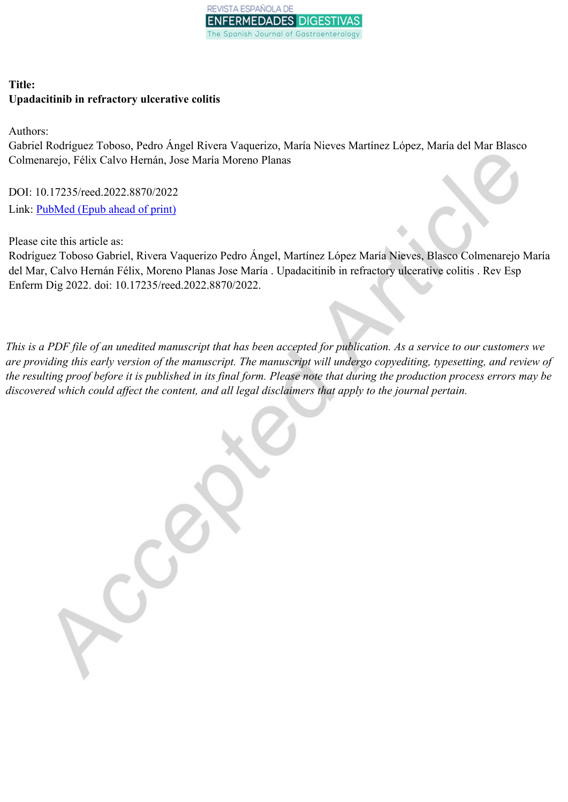

# **Title: Upadacitinib in refractory ulcerative colitis**

Authors:

Gabriel Rodríguez Toboso, Pedro Ángel Rivera Vaquerizo, María Nieves Martínez López, María del Mar Blasco Colmenarejo, Félix Calvo Hernán, Jose María Moreno Planas

DOI: 10.17235/reed.2022.8870/2022 Link: **[PubMed](https://www.ncbi.nlm.nih.gov/pubmed/?term=10.17235/reed.2022.8870/2022)** (Epub ahead of print)

Please cite this article as:

Rodríguez Toboso Gabriel, Rivera Vaquerizo Pedro Ángel, Martínez López María Nieves, Blasco Colmenarejo María del Mar, Calvo Hernán Félix, Moreno Planas Jose María . Upadacitinib in refractory ulcerative colitis . Rev Esp Enferm Dig 2022. doi: 10.17235/reed.2022.8870/2022.

This is a PDF file of an unedited manuscript that has been accepted for publication. As a service to our customers we are providing this early version of the manuscript. The manuscript will undergo copyediting, typesetting, and review of the resulting proof before it is published in its final form. Please note that during the production process errors may be *discovered which could affect the content, and all legal disclaimers that apply to the journal pertain.*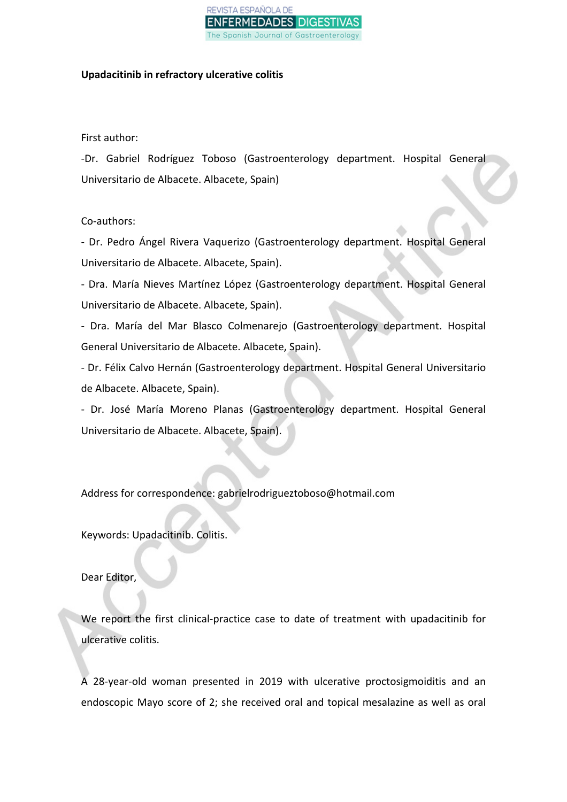#### VISTA ESPAÑOLA DE NFERMEDADES DIGESTI\ Spanish Journal of Gastroenterolo

### **Upadacitinib in refractory ulcerative colitis**

## First author:

-Dr. Gabriel Rodríguez Toboso (Gastroenterology department. Hospital General Universitario de Albacete. Albacete, Spain)

## Co-authors:

- Dr. Pedro Ángel Rivera Vaquerizo (Gastroenterology department. Hospital General Universitario de Albacete. Albacete, Spain).

- Dra. María Nieves Martínez López (Gastroenterology department. Hospital General Universitario de Albacete. Albacete, Spain).

- Dra. María del Mar Blasco Colmenarejo (Gastroenterology department. Hospital General Universitario de Albacete. Albacete, Spain).

- Dr. Félix Calvo Hernán (Gastroenterology department. Hospital General Universitario de Albacete. Albacete, Spain).

- Dr. José María Moreno Planas (Gastroenterology department. Hospital General Universitario de Albacete. Albacete, Spain).

Address for correspondence: gabrielrodrigueztoboso@hotmail.com

Keywords: Upadacitinib. Colitis.

Dear Editor,

We report the first clinical-practice case to date of treatment with upadacitinib for ulcerative colitis.

A 28-year-old woman presented in 2019 with ulcerative proctosigmoiditis and an endoscopic Mayo score of 2; she received oral and topical mesalazine as well as oral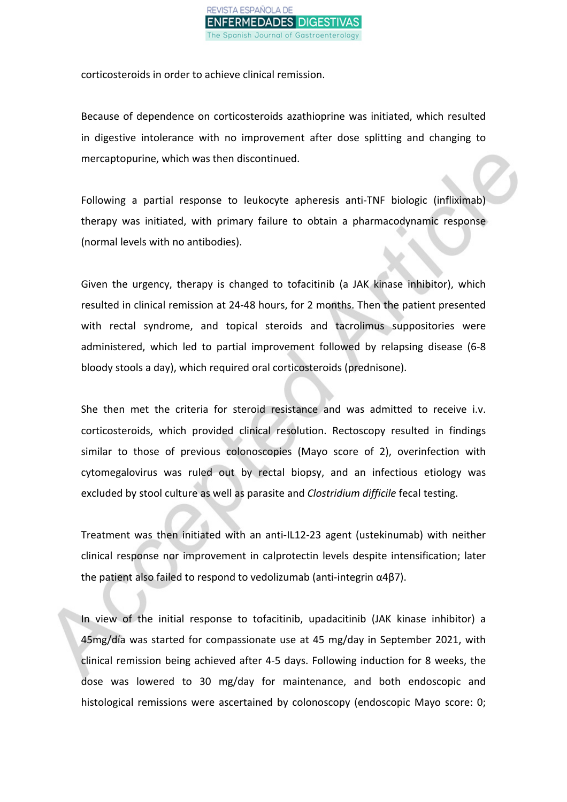

corticosteroids in order to achieve clinical remission.

Because of dependence on corticosteroids azathioprine was initiated, which resulted in digestive intolerance with no improvement after dose splitting and changing to mercaptopurine, which was then discontinued.

Following a partial response to leukocyte apheresis anti-TNF biologic (infliximab) therapy was initiated, with primary failure to obtain a pharmacodynamic response (normal levels with no antibodies).

Given the urgency, therapy is changed to tofacitinib (a JAK kinase inhibitor), which resulted in clinical remission at 24-48 hours, for 2 months. Then the patient presented with rectal syndrome, and topical steroids and tacrolimus suppositories were administered, which led to partial improvement followed by relapsing disease (6-8 bloody stools a day), which required oral corticosteroids (prednisone).

She then met the criteria for steroid resistance and was admitted to receive i.v. corticosteroids, which provided clinical resolution. Rectoscopy resulted in findings similar to those of previous colonoscopies (Mayo score of 2), overinfection with cytomegalovirus was ruled out by rectal biopsy, and an infectious etiology was excluded by stool culture as well as parasite and *Clostridium difficile* fecal testing.

Treatment was then initiated with an anti-IL12-23 agent (ustekinumab) with neither clinical response nor improvement in calprotectin levels despite intensification; later the patient also failed to respond to vedolizumab (anti-integrin α4β7).

In view of the initial response to tofacitinib, upadacitinib (JAK kinase inhibitor) a 45mg/día was started for compassionate use at 45 mg/day in September 2021, with clinical remission being achieved after 4-5 days. Following induction for 8 weeks, the dose was lowered to 30 mg/day for maintenance, and both endoscopic and histological remissions were ascertained by colonoscopy (endoscopic Mayo score: 0;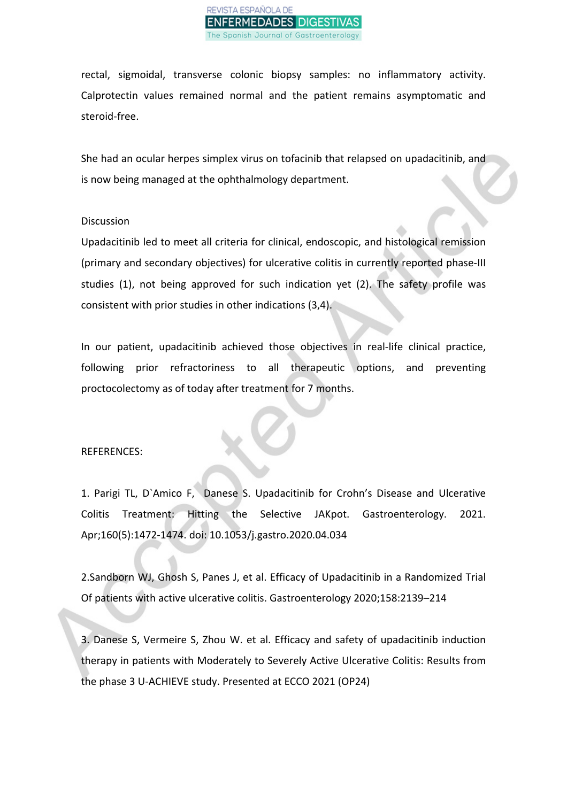

rectal, sigmoidal, transverse colonic biopsy samples: no inflammatory activity. Calprotectin values remained normal and the patient remains asymptomatic and steroid-free.

She had an ocular herpes simplex virus on tofacinib that relapsed on upadacitinib, and is now being managed at the ophthalmology department.

#### **Discussion**

Upadacitinib led to meet all criteria for clinical, endoscopic, and histological remission (primary and secondary objectives) for ulcerative colitis in currently reported phase-III studies (1), not being approved for such indication yet (2). The safety profile was consistent with prior studies in other indications (3,4).

In our patient, upadacitinib achieved those objectives in real-life clinical practice, following prior refractoriness to all therapeutic options, and preventing proctocolectomy as of today after treatment for 7 months.

#### REFERENCES:

1. Parigi TL, D`Amico F, Danese S. Upadacitinib for Crohn's Disease and Ulcerative Colitis Treatment: Hitting the Selective JAKpot. Gastroenterology. 2021. Apr;160(5):1472-1474. doi: 10.1053/j.gastro.2020.04.034

2.Sandborn WJ, Ghosh S, Panes J, et al. Efficacy of Upadacitinib in a Randomized Trial Of patients with active ulcerative colitis. Gastroenterology 2020;158:2139–214

3. Danese S, Vermeire S, Zhou W. et al. Efficacy and safety of upadacitinib induction therapy in patients with Moderately to Severely Active Ulcerative Colitis: Results from the phase 3 U-ACHIEVE study. Presented at ECCO 2021 (OP24)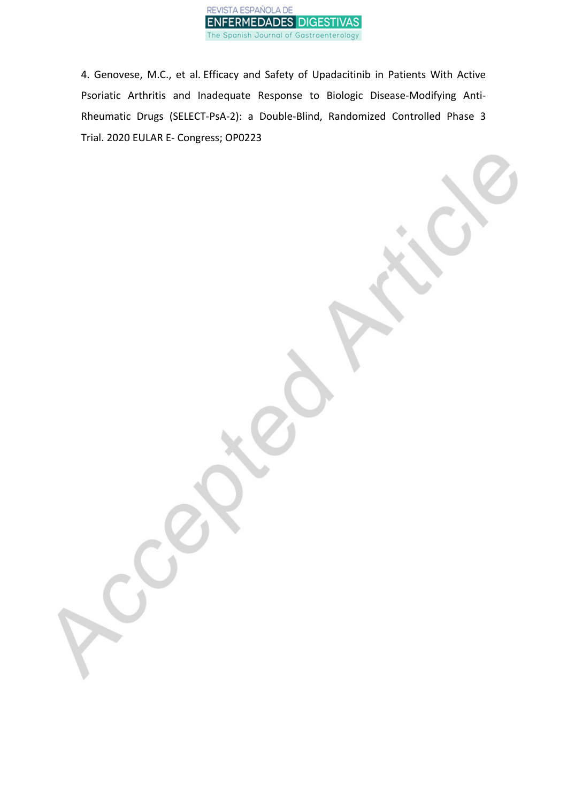

4. Genovese, M.C., et al. Efficacy and Safety of Upadacitinib in Patients With Active Psoriatic Arthritis and Inadequate Response to Biologic Disease-Modifying Anti-Rheumatic Drugs (SELECT-PsA-2): a Double-Blind, Randomized Controlled Phase 3 Trial. 2020 EULAR E- Congress; OP0223